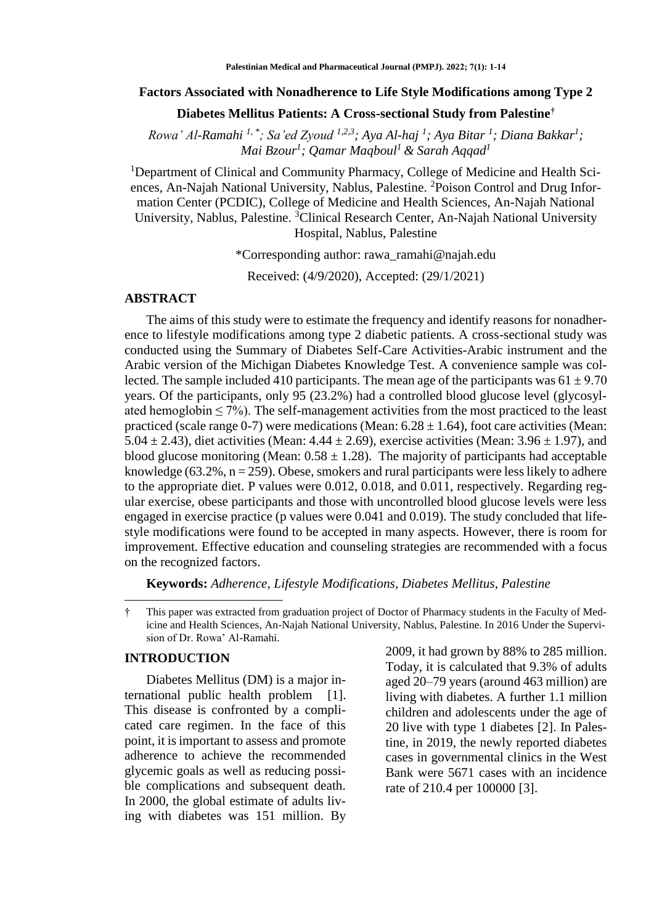### **Factors Associated with Nonadherence to Life Style Modifications among Type 2**

## **Diabetes Mellitus Patients: A Cross-sectional Study from Palestine†**

*Rowa' Al-Ramahi 1, \*; Sa'ed Zyoud 1,2,3; Aya Al-haj <sup>1</sup> ; Aya Bitar <sup>1</sup> ; Diana Bakkar<sup>1</sup> ; Mai Bzour<sup>1</sup> ; Qamar Maqboul<sup>1</sup>& Sarah Aqqad<sup>1</sup>*

<sup>1</sup>Department of Clinical and Community Pharmacy, College of Medicine and Health Sciences, An-Najah National University, Nablus, Palestine. <sup>2</sup>Poison Control and Drug Information Center (PCDIC), College of Medicine and Health Sciences, An-Najah National University, Nablus, Palestine. <sup>3</sup>Clinical Research Center, An-Najah National University Hospital, Nablus, Palestine

\*Corresponding author: [rawa\\_ramahi@najah.edu](mailto:rawa_ramahi@najah.edu)

Received: (4/9/2020), Accepted: (29/1/2021)

## **ABSTRACT**

The aims of this study were to estimate the frequency and identify reasons for nonadherence to lifestyle modifications among type 2 diabetic patients. A cross-sectional study was conducted using the Summary of Diabetes Self-Care Activities-Arabic instrument and the Arabic version of the Michigan Diabetes Knowledge Test. A convenience sample was collected. The sample included 410 participants. The mean age of the participants was  $61 \pm 9.70$ years. Of the participants, only 95 (23.2%) had a controlled blood glucose level (glycosylated hemoglobin  $\leq$  7%). The self-management activities from the most practiced to the least practiced (scale range 0-7) were medications (Mean:  $6.28 \pm 1.64$ ), foot care activities (Mean: 5.04  $\pm$  2.43), diet activities (Mean: 4.44  $\pm$  2.69), exercise activities (Mean: 3.96  $\pm$  1.97), and blood glucose monitoring (Mean:  $0.58 \pm 1.28$ ). The majority of participants had acceptable knowledge (63.2%,  $n = 259$ ). Obese, smokers and rural participants were less likely to adhere to the appropriate diet. P values were 0.012, 0.018, and 0.011, respectively. Regarding regular exercise, obese participants and those with uncontrolled blood glucose levels were less engaged in exercise practice (p values were 0.041 and 0.019). The study concluded that lifestyle modifications were found to be accepted in many aspects. However, there is room for improvement. Effective education and counseling strategies are recommended with a focus on the recognized factors.

**Keywords:** *Adherence, Lifestyle Modifications, Diabetes Mellitus, Palestine*

† This paper was extracted from graduation project of Doctor of Pharmacy students in the Faculty of Medicine and Health Sciences, An-Najah National University, Nablus, Palestine. In 2016 Under the Supervision of Dr. Rowa' Al-Ramahi.

## **INTRODUCTION**

 $\overline{a}$ 

Diabetes Mellitus (DM) is a major international public health problem [1]. This disease is confronted by a complicated care regimen. In the face of this point, it is important to assess and promote adherence to achieve the recommended glycemic goals as well as reducing possible complications and subsequent death. In 2000, the global estimate of adults living with diabetes was 151 million. By

2009, it had grown by 88% to 285 million. Today, it is calculated that 9.3% of adults aged 20–79 years (around 463 million) are living with diabetes. A further 1.1 million children and adolescents under the age of 20 live with type 1 diabetes [2]. In Palestine, in 2019, the newly reported diabetes cases in governmental clinics in the West Bank were 5671 cases with an incidence rate of 210.4 per 100000 [3].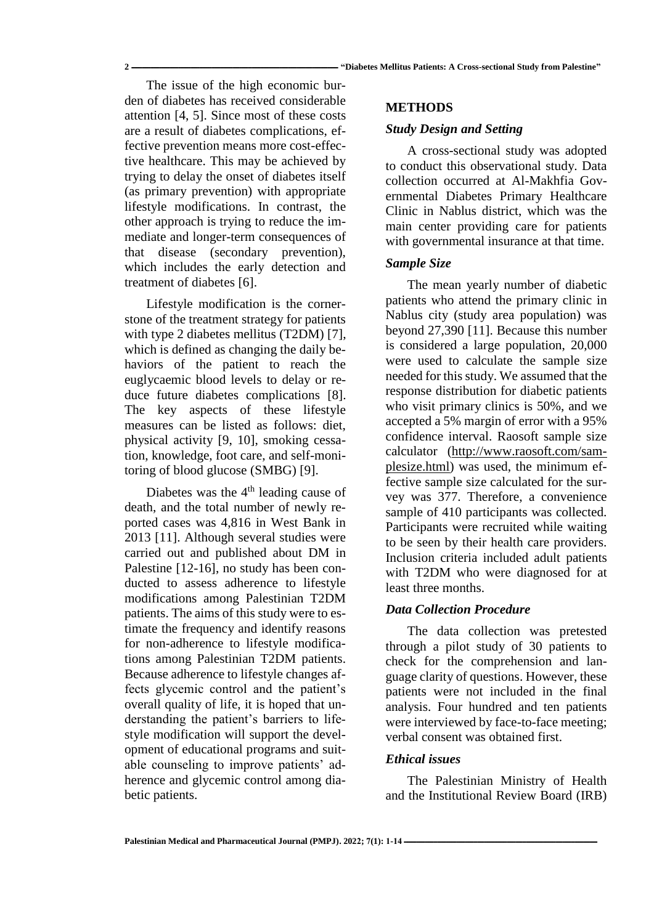The issue of the high economic burden of diabetes has received considerable attention [4, 5]. Since most of these costs are a result of diabetes complications, effective prevention means more cost-effective healthcare. This may be achieved by trying to delay the onset of diabetes itself (as primary prevention) with appropriate lifestyle modifications. In contrast, the other approach is trying to reduce the immediate and longer-term consequences of that disease (secondary prevention), which includes the early detection and treatment of diabetes [6].

Lifestyle modification is the cornerstone of the treatment strategy for patients with type 2 diabetes mellitus (T2DM) [7], which is defined as changing the daily behaviors of the patient to reach the euglycaemic blood levels to delay or reduce future diabetes complications [8]. The key aspects of these lifestyle measures can be listed as follows: diet, physical activity [9, 10], smoking cessation, knowledge, foot care, and self-monitoring of blood glucose (SMBG) [9].

Diabetes was the  $4<sup>th</sup>$  leading cause of death, and the total number of newly reported cases was 4,816 in West Bank in 2013 [11]. Although several studies were carried out and published about DM in Palestine [12-16], no study has been conducted to assess adherence to lifestyle modifications among Palestinian T2DM patients. The aims of this study were to estimate the frequency and identify reasons for non-adherence to lifestyle modifications among Palestinian T2DM patients. Because adherence to lifestyle changes affects glycemic control and the patient's overall quality of life, it is hoped that understanding the patient's barriers to lifestyle modification will support the development of educational programs and suitable counseling to improve patients' adherence and glycemic control among diabetic patients.

### **METHODS**

#### *Study Design and Setting*

A cross-sectional study was adopted to conduct this observational study. Data collection occurred at Al-Makhfia Governmental Diabetes Primary Healthcare Clinic in Nablus district, which was the main center providing care for patients with governmental insurance at that time.

### *Sample Size*

The mean yearly number of diabetic patients who attend the primary clinic in Nablus city (study area population) was beyond 27,390 [11]. Because this number is considered a large population, 20,000 were used to calculate the sample size needed for this study. We assumed that the response distribution for diabetic patients who visit primary clinics is 50%, and we accepted a 5% margin of error with a 95% confidence interval. Raosoft sample size calculator [\(http://www.raosoft.com/sam](http://www.raosoft.com/samplesize.html)[plesize.html\)](http://www.raosoft.com/samplesize.html) was used, the minimum effective sample size calculated for the survey was 377. Therefore, a convenience sample of 410 participants was collected. Participants were recruited while waiting to be seen by their health care providers. Inclusion criteria included adult patients with T2DM who were diagnosed for at least three months.

## *Data Collection Procedure*

The data collection was pretested through a pilot study of 30 patients to check for the comprehension and language clarity of questions. However, these patients were not included in the final analysis. Four hundred and ten patients were interviewed by face-to-face meeting; verbal consent was obtained first.

### *Ethical issues*

The Palestinian Ministry of Health and the Institutional Review Board (IRB)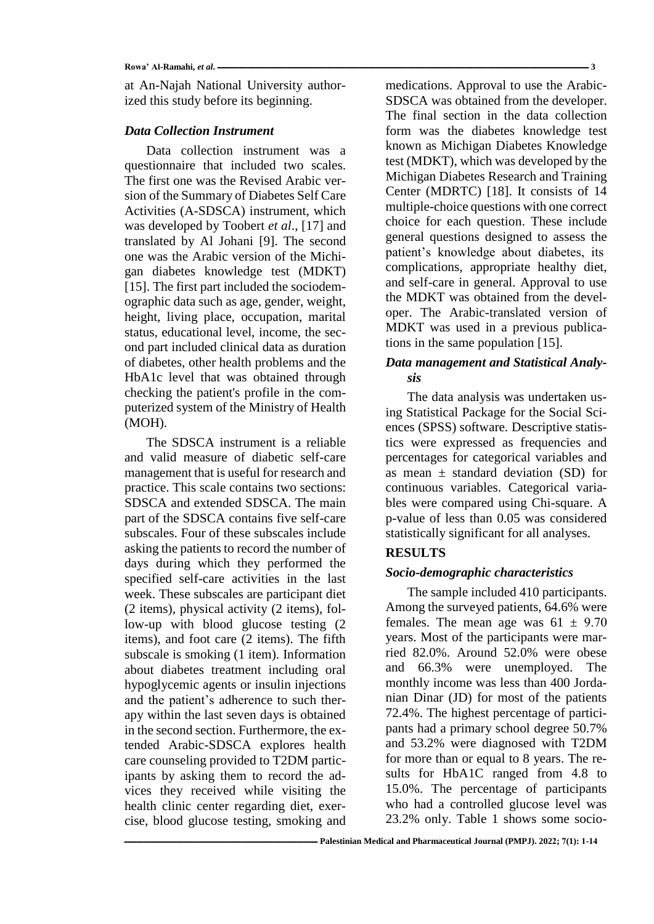at An-Najah National University authorized this study before its beginning.

### *Data Collection Instrument*

Data collection instrument was a questionnaire that included two scales. The first one was the Revised Arabic version of the Summary of Diabetes Self Care Activities (A-SDSCA) instrument, which was developed by Toobert *et al*., [17] and translated by Al Johani [9]. The second one was the Arabic version of the Michigan diabetes knowledge test (MDKT) [15]. The first part included the sociodemographic data such as age, gender, weight, height, living place, occupation, marital status, educational level, income, the second part included clinical data as duration of diabetes, other health problems and the HbA1c level that was obtained through checking the patient's profile in the computerized system of the Ministry of Health (MOH).

The SDSCA instrument is a reliable and valid measure of diabetic self-care management that is useful for research and practice. This scale contains two sections: SDSCA and extended SDSCA. The main part of the SDSCA contains five self-care subscales. Four of these subscales include asking the patients to record the number of days during which they performed the specified self-care activities in the last week. These subscales are participant diet (2 items), physical activity (2 items), follow-up with blood glucose testing (2 items), and foot care (2 items). The fifth subscale is smoking (1 item). Information about diabetes treatment including oral hypoglycemic agents or insulin injections and the patient's adherence to such therapy within the last seven days is obtained in the second section. Furthermore, the extended Arabic-SDSCA explores health care counseling provided to T2DM participants by asking them to record the advices they received while visiting the health clinic center regarding diet, exercise, blood glucose testing, smoking and

medications. Approval to use the Arabic-SDSCA was obtained from the developer. The final section in the data collection form was the diabetes knowledge test known as Michigan Diabetes Knowledge test (MDKT), which was developed by the Michigan Diabetes Research and Training Center (MDRTC) [18]. It consists of 14 multiple-choice questions with one correct choice for each question. These include general questions designed to assess the patient's knowledge about diabetes, its complications, appropriate healthy diet, and self-care in general. Approval to use the MDKT was obtained from the developer. The Arabic-translated version of MDKT was used in a previous publications in the same population [15].

## *Data management and Statistical Analysis*

The data analysis was undertaken using Statistical Package for the Social Sciences (SPSS) software. Descriptive statistics were expressed as frequencies and percentages for categorical variables and as mean  $\pm$  standard deviation (SD) for continuous variables. Categorical variables were compared using Chi-square. A p-value of less than 0.05 was considered statistically significant for all analyses.

## **RESULTS**

## *Socio-demographic characteristics*

The sample included 410 participants. Among the surveyed patients, 64.6% were females. The mean age was  $61 \pm 9.70$ years. Most of the participants were married 82.0%. Around 52.0% were obese and 66.3% were unemployed. The monthly income was less than 400 Jordanian Dinar (JD) for most of the patients 72.4%. The highest percentage of participants had a primary school degree 50.7% and 53.2% were diagnosed with T2DM for more than or equal to 8 years. The results for HbA1C ranged from 4.8 to 15.0%. The percentage of participants who had a controlled glucose level was 23.2% only. Table 1 shows some socio-

**Rowa' Al-Ramahi,** *et al***. ــــــــــــــــــــــــــــــــــــــــــــــــــــــــــــــــــــــــــــــــــــــــــــــــــــــــــــــــــــــــــــــــــــــــــــــــــــــــــــــــــــــــــــــــــــــــــــــــــــــــــــــــــــــ 3**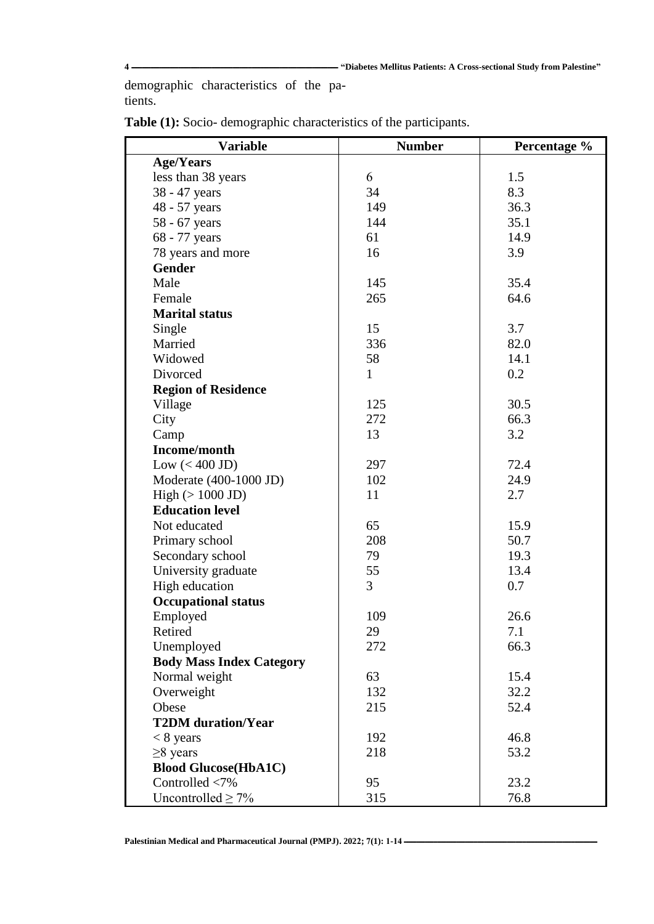demographic characteristics of the patients.

| <b>Variable</b>                 | <b>Number</b> | Percentage % |
|---------------------------------|---------------|--------------|
| <b>Age/Years</b>                |               |              |
| less than 38 years              | 6             | 1.5          |
| 38 - 47 years                   | 34            | 8.3          |
| 48 - 57 years                   | 149           | 36.3         |
| 58 - 67 years                   | 144           | 35.1         |
| 68 - 77 years                   | 61            | 14.9         |
| 78 years and more               | 16            | 3.9          |
| <b>Gender</b>                   |               |              |
| Male                            | 145           | 35.4         |
| Female                          | 265           | 64.6         |
| <b>Marital status</b>           |               |              |
| Single                          | 15            | 3.7          |
| Married                         | 336           | 82.0         |
| Widowed                         | 58            | 14.1         |
| Divorced                        | 1             | 0.2          |
| <b>Region of Residence</b>      |               |              |
| Village                         | 125           | 30.5         |
| City                            | 272           | 66.3         |
| Camp                            | 13            | 3.2          |
| Income/month                    |               |              |
| Low $(< 400$ JD)                | 297           | 72.4         |
| Moderate (400-1000 JD)          | 102           | 24.9         |
| High $(>1000$ JD)               | 11            | 2.7          |
| <b>Education level</b>          |               |              |
| Not educated                    | 65            | 15.9         |
| Primary school                  | 208           | 50.7         |
| Secondary school                | 79            | 19.3         |
| University graduate             | 55            | 13.4         |
| High education                  | 3             | 0.7          |
| <b>Occupational status</b>      |               |              |
| Employed                        | 109           | 26.6         |
| Retired                         | 29            | 7.1          |
| Unemployed                      | 272           | 66.3         |
| <b>Body Mass Index Category</b> |               |              |
| Normal weight                   | 63            | 15.4         |
| Overweight                      | 132           | 32.2         |
| Obese                           | 215           | 52.4         |
| <b>T2DM</b> duration/Year       |               |              |
| $< 8$ years                     | 192           | 46.8         |
| $\geq$ 8 years                  | 218           | 53.2         |
| <b>Blood Glucose(HbA1C)</b>     |               |              |
| Controlled <7%                  | 95            | 23.2         |
| Uncontrolled $\geq 7\%$         | 315           | 76.8         |

**Table (1):** Socio- demographic characteristics of the participants.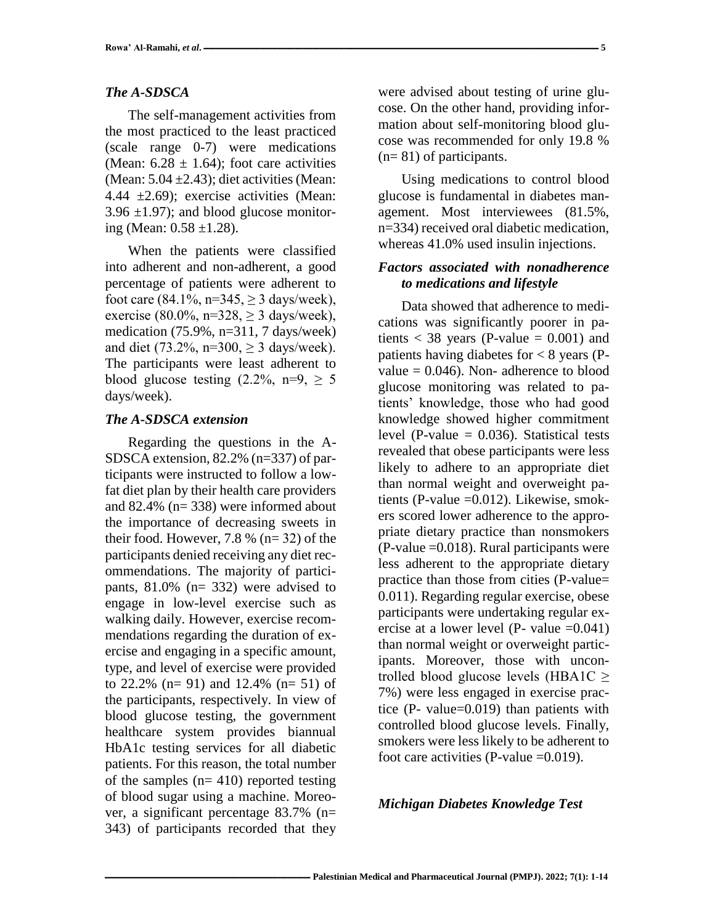## *The A-SDSCA*

The self-management activities from the most practiced to the least practiced (scale range 0-7) were medications (Mean:  $6.28 \pm 1.64$ ); foot care activities (Mean:  $5.04 \pm 2.43$ ); diet activities (Mean: 4.44  $\pm$ 2.69); exercise activities (Mean:  $3.96 \pm 1.97$ ); and blood glucose monitoring (Mean:  $0.58 \pm 1.28$ ).

When the patients were classified into adherent and non-adherent, a good percentage of patients were adherent to foot care (84.1%, n=345,  $\geq$  3 days/week), exercise (80.0%, n=328,  $\geq$  3 days/week), medication (75.9%, n=311, 7 days/week) and diet (73.2%, n=300,  $> 3$  days/week). The participants were least adherent to blood glucose testing  $(2.2\% \text{ n=9}) > 5$ days/week).

## *The A-SDSCA extension*

Regarding the questions in the A-SDSCA extension, 82.2% (n=337) of participants were instructed to follow a lowfat diet plan by their health care providers and 82.4% (n= 338) were informed about the importance of decreasing sweets in their food. However, 7.8 % ( $n=32$ ) of the participants denied receiving any diet recommendations. The majority of participants, 81.0% (n= 332) were advised to engage in low-level exercise such as walking daily. However, exercise recommendations regarding the duration of exercise and engaging in a specific amount, type, and level of exercise were provided to 22.2% (n= 91) and 12.4% (n= 51) of the participants, respectively. In view of blood glucose testing, the government healthcare system provides biannual HbA1c testing services for all diabetic patients. For this reason, the total number of the samples  $(n= 410)$  reported testing of blood sugar using a machine. Moreover, a significant percentage 83.7% (n= 343) of participants recorded that they were advised about testing of urine glucose. On the other hand, providing information about self-monitoring blood glucose was recommended for only 19.8 % (n= 81) of participants.

Using medications to control blood glucose is fundamental in diabetes management. Most interviewees (81.5%, n=334) received oral diabetic medication, whereas 41.0% used insulin injections.

### *Factors associated with nonadherence to medications and lifestyle*

Data showed that adherence to medications was significantly poorer in patients  $<$  38 years (P-value = 0.001) and patients having diabetes for  $< 8$  years (Pvalue  $= 0.046$ ). Non-adherence to blood glucose monitoring was related to patients' knowledge, those who had good knowledge showed higher commitment level (P-value  $= 0.036$ ). Statistical tests revealed that obese participants were less likely to adhere to an appropriate diet than normal weight and overweight patients (P-value =0.012). Likewise, smokers scored lower adherence to the appropriate dietary practice than nonsmokers  $(P-value = 0.018)$ . Rural participants were less adherent to the appropriate dietary practice than those from cities (P-value= 0.011). Regarding regular exercise, obese participants were undertaking regular exercise at a lower level (P- value  $=0.041$ ) than normal weight or overweight participants. Moreover, those with uncontrolled blood glucose levels (HBA1C ≥ 7%) were less engaged in exercise practice (P- value=0.019) than patients with controlled blood glucose levels. Finally, smokers were less likely to be adherent to foot care activities (P-value  $=0.019$ ).

### *Michigan Diabetes Knowledge Test*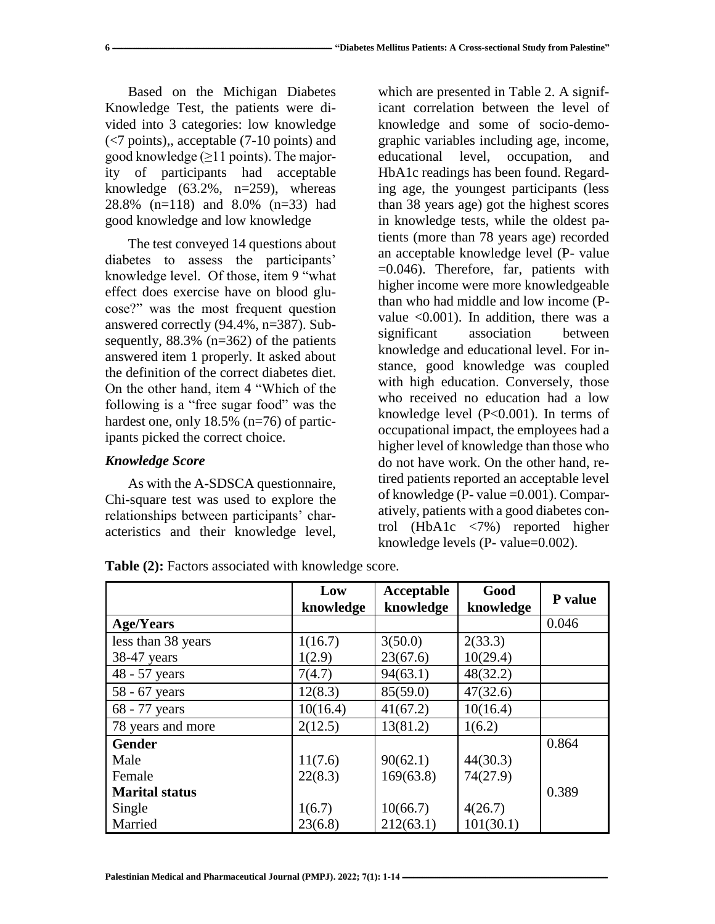Based on the Michigan Diabetes Knowledge Test, the patients were divided into 3 categories: low knowledge (<7 points),, acceptable (7-10 points) and good knowledge  $(\geq)$ 1 points). The majority of participants had acceptable knowledge  $(63.2\% , n=259)$ , whereas 28.8% (n=118) and 8.0% (n=33) had good knowledge and low knowledge

The test conveyed 14 questions about diabetes to assess the participants' knowledge level. Of those, item 9 "what effect does exercise have on blood glucose?" was the most frequent question answered correctly (94.4%, n=387). Subsequently, 88.3% (n=362) of the patients answered item 1 properly. It asked about the definition of the correct diabetes diet. On the other hand, item 4 "Which of the following is a "free sugar food" was the hardest one, only 18.5% (n=76) of participants picked the correct choice.

# *Knowledge Score*

As with the A-SDSCA questionnaire, Chi-square test was used to explore the relationships between participants' characteristics and their knowledge level,

which are presented in Table 2. A significant correlation between the level of knowledge and some of socio-demographic variables including age, income, educational level, occupation, and HbA1c readings has been found. Regarding age, the youngest participants (less than 38 years age) got the highest scores in knowledge tests, while the oldest patients (more than 78 years age) recorded an acceptable knowledge level (P- value =0.046). Therefore, far, patients with higher income were more knowledgeable than who had middle and low income (Pvalue <0.001). In addition, there was a significant association between knowledge and educational level. For instance, good knowledge was coupled with high education. Conversely, those who received no education had a low knowledge level (P<0.001). In terms of occupational impact, the employees had a higher level of knowledge than those who do not have work. On the other hand, retired patients reported an acceptable level of knowledge (P- value =0.001). Comparatively, patients with a good diabetes control (HbA1c <7%) reported higher knowledge levels (P- value=0.002).

|                       | Low<br>knowledge | Acceptable<br>knowledge | Good<br>knowledge | P value |
|-----------------------|------------------|-------------------------|-------------------|---------|
| <b>Age/Years</b>      |                  |                         |                   | 0.046   |
| less than 38 years    | 1(16.7)          | 3(50.0)                 | 2(33.3)           |         |
| 38-47 years           | 1(2.9)           | 23(67.6)                | 10(29.4)          |         |
| 48 - 57 years         | 7(4.7)           | 94(63.1)                | 48(32.2)          |         |
| 58 - 67 years         | 12(8.3)          | 85(59.0)                | 47(32.6)          |         |
| 68 - 77 years         | 10(16.4)         | 41(67.2)                | 10(16.4)          |         |
| 78 years and more     | 2(12.5)          | 13(81.2)                | 1(6.2)            |         |
| <b>Gender</b>         |                  |                         |                   | 0.864   |
| Male                  | 11(7.6)          | 90(62.1)                | 44(30.3)          |         |
| Female                | 22(8.3)          | 169(63.8)               | 74(27.9)          |         |
| <b>Marital status</b> |                  |                         |                   | 0.389   |
| Single                | 1(6.7)           | 10(66.7)                | 4(26.7)           |         |
| Married               | 23(6.8)          | 212(63.1)               | 101(30.1)         |         |

**Table (2):** Factors associated with knowledge score.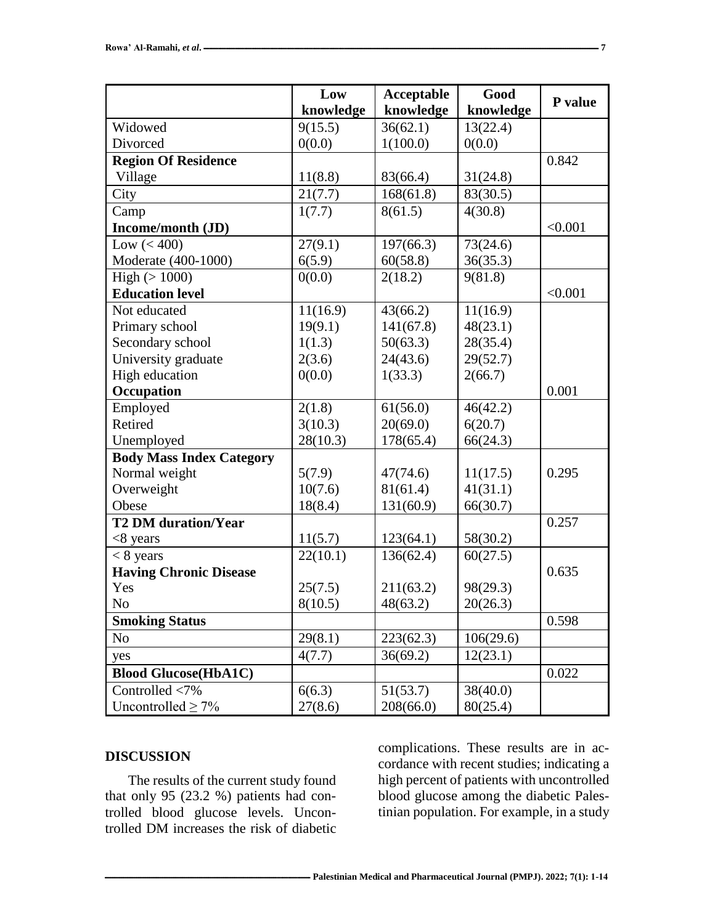|                                 | Low       | Acceptable | Good      |         |
|---------------------------------|-----------|------------|-----------|---------|
|                                 | knowledge | knowledge  | knowledge | P value |
| Widowed                         | 9(15.5)   | 36(62.1)   | 13(22.4)  |         |
| Divorced                        | 0(0.0)    | 1(100.0)   | 0(0.0)    |         |
| <b>Region Of Residence</b>      |           |            |           | 0.842   |
| Village                         | 11(8.8)   | 83(66.4)   | 31(24.8)  |         |
| City                            | 21(7.7)   | 168(61.8)  | 83(30.5)  |         |
| Camp                            | 1(7.7)    | 8(61.5)    | 4(30.8)   |         |
| Income/month (JD)               |           |            |           | < 0.001 |
| Low $(< 400)$                   | 27(9.1)   | 197(66.3)  | 73(24.6)  |         |
| Moderate (400-1000)             | 6(5.9)    | 60(58.8)   | 36(35.3)  |         |
| High $(>1000)$                  | 0(0.0)    | 2(18.2)    | 9(81.8)   |         |
| <b>Education level</b>          |           |            |           | < 0.001 |
| Not educated                    | 11(16.9)  | 43(66.2)   | 11(16.9)  |         |
| Primary school                  | 19(9.1)   | 141(67.8)  | 48(23.1)  |         |
| Secondary school                | 1(1.3)    | 50(63.3)   | 28(35.4)  |         |
| University graduate             | 2(3.6)    | 24(43.6)   | 29(52.7)  |         |
| High education                  | 0(0.0)    | 1(33.3)    | 2(66.7)   |         |
| Occupation                      |           |            |           | 0.001   |
| Employed                        | 2(1.8)    | 61(56.0)   | 46(42.2)  |         |
| Retired                         | 3(10.3)   | 20(69.0)   | 6(20.7)   |         |
| Unemployed                      | 28(10.3)  | 178(65.4)  | 66(24.3)  |         |
| <b>Body Mass Index Category</b> |           |            |           |         |
| Normal weight                   | 5(7.9)    | 47(74.6)   | 11(17.5)  | 0.295   |
| Overweight                      | 10(7.6)   | 81(61.4)   | 41(31.1)  |         |
| Obese                           | 18(8.4)   | 131(60.9)  | 66(30.7)  |         |
| <b>T2 DM</b> duration/Year      |           |            |           | 0.257   |
| $<8$ years                      | 11(5.7)   | 123(64.1)  | 58(30.2)  |         |
| $< 8$ years                     | 22(10.1)  | 136(62.4)  | 60(27.5)  |         |
| <b>Having Chronic Disease</b>   |           |            |           | 0.635   |
| Yes                             | 25(7.5)   | 211(63.2)  | 98(29.3)  |         |
| No                              | 8(10.5)   | 48(63.2)   | 20(26.3)  |         |
| <b>Smoking Status</b>           |           |            |           | 0.598   |
| N <sub>0</sub>                  | 29(8.1)   | 223(62.3)  | 106(29.6) |         |
| yes                             | 4(7.7)    | 36(69.2)   | 12(23.1)  |         |
| <b>Blood Glucose(HbA1C)</b>     |           |            |           | 0.022   |
| Controlled <7%                  | 6(6.3)    | 51(53.7)   | 38(40.0)  |         |
| Uncontrolled $\geq 7\%$         | 27(8.6)   | 208(66.0)  | 80(25.4)  |         |

## **DISCUSSION**

The results of the current study found that only 95 (23.2 %) patients had controlled blood glucose levels. Uncontrolled DM increases the risk of diabetic complications. These results are in accordance with recent studies; indicating a high percent of patients with uncontrolled blood glucose among the diabetic Palestinian population. For example, in a study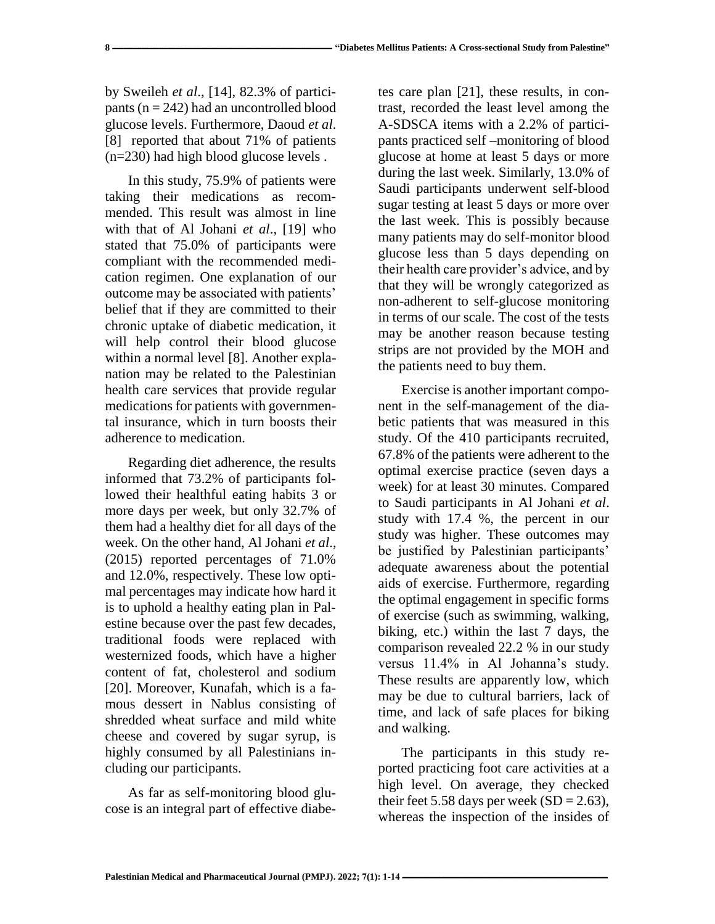by Sweileh *et al*., [14], 82.3% of participants ( $n = 242$ ) had an uncontrolled blood glucose levels. Furthermore, Daoud *et al*. [8] reported that about 71% of patients (n=230) had high blood glucose levels .

In this study, 75.9% of patients were taking their medications as recommended. This result was almost in line with that of Al Johani *et al*., [19] who stated that 75.0% of participants were compliant with the recommended medication regimen. One explanation of our outcome may be associated with patients' belief that if they are committed to their chronic uptake of diabetic medication, it will help control their blood glucose within a normal level [8]. Another explanation may be related to the Palestinian health care services that provide regular medications for patients with governmental insurance, which in turn boosts their adherence to medication.

Regarding diet adherence, the results informed that 73.2% of participants followed their healthful eating habits 3 or more days per week, but only 32.7% of them had a healthy diet for all days of the week. On the other hand, Al Johani *et al*., (2015) reported percentages of 71.0% and 12.0%, respectively. These low optimal percentages may indicate how hard it is to uphold a healthy eating plan in Palestine because over the past few decades, traditional foods were replaced with westernized foods, which have a higher content of fat, cholesterol and sodium [20]. Moreover, Kunafah, which is a famous dessert in Nablus consisting of shredded wheat surface and mild white cheese and covered by sugar syrup, is highly consumed by all Palestinians including our participants.

As far as self-monitoring blood glucose is an integral part of effective diabetes care plan [21], these results, in contrast, recorded the least level among the A-SDSCA items with a 2.2% of participants practiced self –monitoring of blood glucose at home at least 5 days or more during the last week. Similarly, 13.0% of Saudi participants underwent self-blood sugar testing at least 5 days or more over the last week. This is possibly because many patients may do self-monitor blood glucose less than 5 days depending on their health care provider's advice, and by that they will be wrongly categorized as non-adherent to self-glucose monitoring in terms of our scale. The cost of the tests may be another reason because testing strips are not provided by the MOH and the patients need to buy them.

Exercise is another important component in the self-management of the diabetic patients that was measured in this study. Of the 410 participants recruited, 67.8% of the patients were adherent to the optimal exercise practice (seven days a week) for at least 30 minutes. Compared to Saudi participants in Al Johani *et al*. study with 17.4 %, the percent in our study was higher. These outcomes may be justified by Palestinian participants' adequate awareness about the potential aids of exercise. Furthermore, regarding the optimal engagement in specific forms of exercise (such as swimming, walking, biking, etc.) within the last 7 days, the comparison revealed 22.2 % in our study versus 11.4% in Al Johanna's study. These results are apparently low, which may be due to cultural barriers, lack of time, and lack of safe places for biking and walking.

The participants in this study reported practicing foot care activities at a high level. On average, they checked their feet 5.58 days per week  $(SD = 2.63)$ , whereas the inspection of the insides of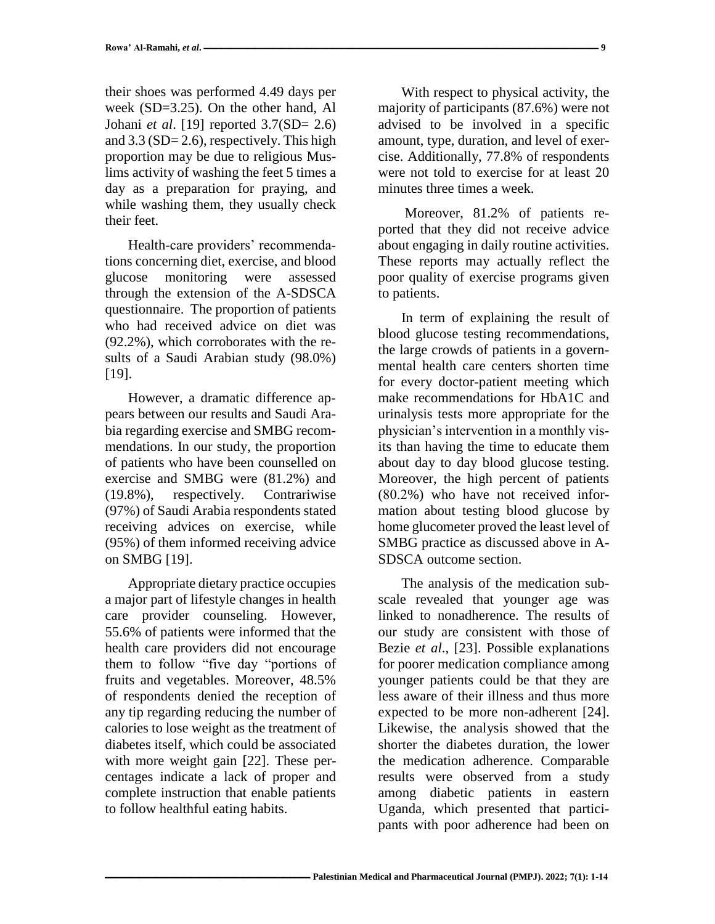their shoes was performed 4.49 days per week (SD=3.25). On the other hand, Al Johani *et al*. [19] reported 3.7(SD= 2.6) and 3.3 (SD= 2.6), respectively. This high proportion may be due to religious Muslims activity of washing the feet 5 times a day as a preparation for praying, and while washing them, they usually check their feet.

Health-care providers' recommendations concerning diet, exercise, and blood glucose monitoring were assessed through the extension of the A-SDSCA questionnaire. The proportion of patients who had received advice on diet was (92.2%), which corroborates with the results of a Saudi Arabian study (98.0%) [19].

However, a dramatic difference appears between our results and Saudi Arabia regarding exercise and SMBG recommendations. In our study, the proportion of patients who have been counselled on exercise and SMBG were (81.2%) and (19.8%), respectively. Contrariwise (97%) of Saudi Arabia respondents stated receiving advices on exercise, while (95%) of them informed receiving advice on SMBG [19].

Appropriate dietary practice occupies a major part of lifestyle changes in health care provider counseling. However, 55.6% of patients were informed that the health care providers did not encourage them to follow "five day "portions of fruits and vegetables. Moreover, 48.5% of respondents denied the reception of any tip regarding reducing the number of calories to lose weight as the treatment of diabetes itself, which could be associated with more weight gain [22]. These percentages indicate a lack of proper and complete instruction that enable patients to follow healthful eating habits.

With respect to physical activity, the majority of participants (87.6%) were not advised to be involved in a specific amount, type, duration, and level of exercise. Additionally, 77.8% of respondents were not told to exercise for at least 20 minutes three times a week.

Moreover, 81.2% of patients reported that they did not receive advice about engaging in daily routine activities. These reports may actually reflect the poor quality of exercise programs given to patients.

In term of explaining the result of blood glucose testing recommendations, the large crowds of patients in a governmental health care centers shorten time for every doctor-patient meeting which make recommendations for HbA1C and urinalysis tests more appropriate for the physician's intervention in a monthly visits than having the time to educate them about day to day blood glucose testing. Moreover, the high percent of patients (80.2%) who have not received information about testing blood glucose by home glucometer proved the least level of SMBG practice as discussed above in A-SDSCA outcome section.

The analysis of the medication subscale revealed that younger age was linked to nonadherence. The results of our study are consistent with those of Bezie *et al*., [23]. Possible explanations for poorer medication compliance among younger patients could be that they are less aware of their illness and thus more expected to be more non-adherent [24]. Likewise, the analysis showed that the shorter the diabetes duration, the lower the medication adherence. Comparable results were observed from a study among diabetic patients in eastern Uganda, which presented that participants with poor adherence had been on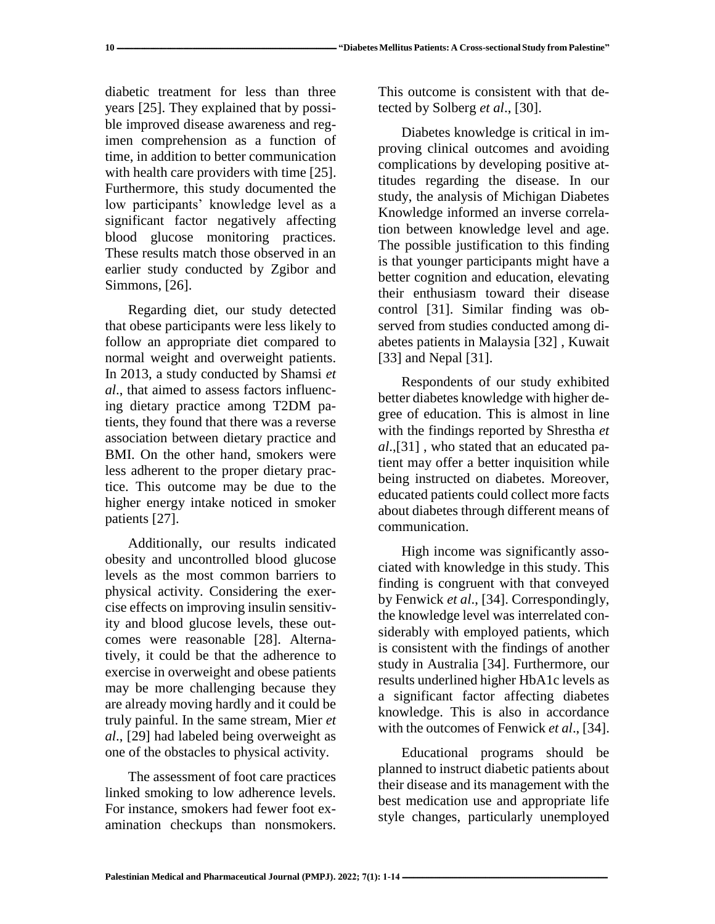diabetic treatment for less than three years [25]. They explained that by possible improved disease awareness and regimen comprehension as a function of time, in addition to better communication with health care providers with time [25]. Furthermore, this study documented the low participants' knowledge level as a significant factor negatively affecting blood glucose monitoring practices. These results match those observed in an earlier study conducted by Zgibor and Simmons, [26].

Regarding diet, our study detected that obese participants were less likely to follow an appropriate diet compared to normal weight and overweight patients. In 2013, a study conducted by Shamsi *et al*., that aimed to assess factors influencing dietary practice among T2DM patients, they found that there was a reverse association between dietary practice and BMI. On the other hand, smokers were less adherent to the proper dietary practice. This outcome may be due to the higher energy intake noticed in smoker patients [27].

Additionally, our results indicated obesity and uncontrolled blood glucose levels as the most common barriers to physical activity. Considering the exercise effects on improving insulin sensitivity and blood glucose levels, these outcomes were reasonable [28]. Alternatively, it could be that the adherence to exercise in overweight and obese patients may be more challenging because they are already moving hardly and it could be truly painful. In the same stream, Mier *et al*., [29] had labeled being overweight as one of the obstacles to physical activity.

The assessment of foot care practices linked smoking to low adherence levels. For instance, smokers had fewer foot examination checkups than nonsmokers. This outcome is consistent with that detected by Solberg *et al*., [30].

Diabetes knowledge is critical in improving clinical outcomes and avoiding complications by developing positive attitudes regarding the disease. In our study, the analysis of Michigan Diabetes Knowledge informed an inverse correlation between knowledge level and age. The possible justification to this finding is that younger participants might have a better cognition and education, elevating their enthusiasm toward their disease control [31]. Similar finding was observed from studies conducted among diabetes patients in Malaysia [32] , Kuwait [33] and Nepal [31].

Respondents of our study exhibited better diabetes knowledge with higher degree of education. This is almost in line with the findings reported by Shrestha *et al*.,[31] , who stated that an educated patient may offer a better inquisition while being instructed on diabetes. Moreover, educated patients could collect more facts about diabetes through different means of communication.

High income was significantly associated with knowledge in this study. This finding is congruent with that conveyed by Fenwick *et al*., [34]. Correspondingly, the knowledge level was interrelated considerably with employed patients, which is consistent with the findings of another study in Australia [34]. Furthermore, our results underlined higher HbA1c levels as a significant factor affecting diabetes knowledge. This is also in accordance with the outcomes of Fenwick *et al*., [34].

Educational programs should be planned to instruct diabetic patients about their disease and its management with the best medication use and appropriate life style changes, particularly unemployed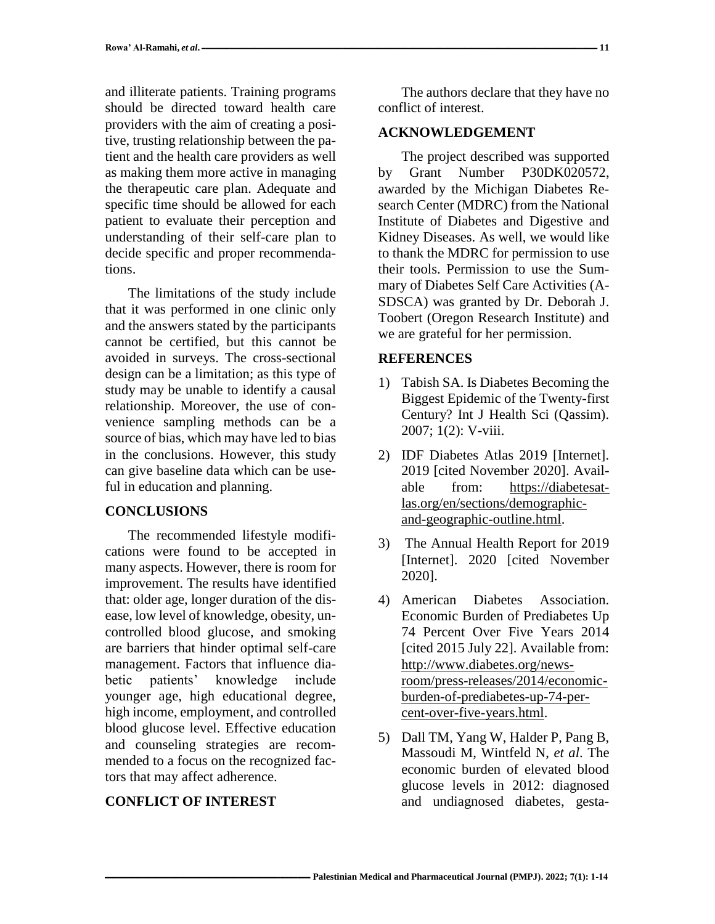and illiterate patients. Training programs should be directed toward health care providers with the aim of creating a positive, trusting relationship between the patient and the health care providers as well as making them more active in managing the therapeutic care plan. Adequate and specific time should be allowed for each patient to evaluate their perception and understanding of their self-care plan to decide specific and proper recommendations.

The limitations of the study include that it was performed in one clinic only and the answers stated by the participants cannot be certified, but this cannot be avoided in surveys. The cross-sectional design can be a limitation; as this type of study may be unable to identify a causal relationship. Moreover, the use of convenience sampling methods can be a source of bias, which may have led to bias in the conclusions. However, this study can give baseline data which can be useful in education and planning.

### **CONCLUSIONS**

The recommended lifestyle modifications were found to be accepted in many aspects. However, there is room for improvement. The results have identified that: older age, longer duration of the disease, low level of knowledge, obesity, uncontrolled blood glucose, and smoking are barriers that hinder optimal self-care management. Factors that influence diabetic patients' knowledge include younger age, high educational degree, high income, employment, and controlled blood glucose level. Effective education and counseling strategies are recommended to a focus on the recognized factors that may affect adherence.

## **CONFLICT OF INTEREST**

The authors declare that they have no conflict of interest.

#### **ACKNOWLEDGEMENT**

The project described was supported by Grant Number P30DK020572, awarded by the Michigan Diabetes Research Center (MDRC) from the National Institute of Diabetes and Digestive and Kidney Diseases. As well, we would like to thank the MDRC for permission to use their tools. Permission to use the Summary of Diabetes Self Care Activities (A-SDSCA) was granted by Dr. Deborah J. Toobert (Oregon Research Institute) and we are grateful for her permission.

#### **REFERENCES**

- 1) Tabish SA. Is Diabetes Becoming the Biggest Epidemic of the Twenty-first Century? Int J Health Sci (Qassim). 2007; 1(2): V-viii.
- 2) IDF Diabetes Atlas 2019 [Internet]. 2019 [cited November 2020]. Available from: https://diabetesatlas.org/en/sections/demographicand-geographic-outline.html.
- 3) The Annual Health Report for 2019 [Internet]. 2020 [cited November 2020].
- 4) American Diabetes Association. Economic Burden of Prediabetes Up 74 Percent Over Five Years 2014 [cited 2015 July 22]. Available from: [http://www.diabetes.org/news](http://www.diabetes.org/newsroom/press-releases/2014/economic-burden-of-prediabetes-up-74-percent-over-five-years.html)[room/press-releases/2014/economic](http://www.diabetes.org/newsroom/press-releases/2014/economic-burden-of-prediabetes-up-74-percent-over-five-years.html)[burden-of-prediabetes-up-74-per](http://www.diabetes.org/newsroom/press-releases/2014/economic-burden-of-prediabetes-up-74-percent-over-five-years.html)[cent-over-five-years.html.](http://www.diabetes.org/newsroom/press-releases/2014/economic-burden-of-prediabetes-up-74-percent-over-five-years.html)
- 5) Dall TM, Yang W, Halder P, Pang B, Massoudi M, Wintfeld N, *et al*. The economic burden of elevated blood glucose levels in 2012: diagnosed and undiagnosed diabetes, gesta-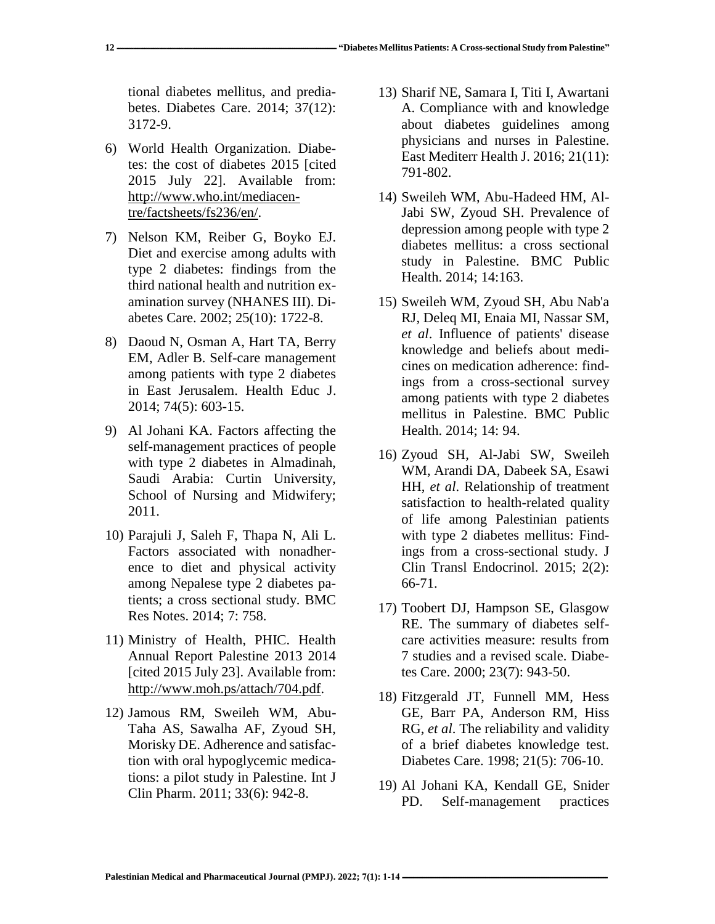tional diabetes mellitus, and prediabetes. Diabetes Care. 2014; 37(12): 3172-9.

- 6) World Health Organization. Diabetes: the cost of diabetes 2015 [cited 2015 July 22]. Available from: [http://www.who.int/mediacen](http://www.who.int/mediacentre/factsheets/fs236/en/)[tre/factsheets/fs236/en/.](http://www.who.int/mediacentre/factsheets/fs236/en/)
- 7) Nelson KM, Reiber G, Boyko EJ. Diet and exercise among adults with type 2 diabetes: findings from the third national health and nutrition examination survey (NHANES III). Diabetes Care. 2002; 25(10): 1722-8.
- 8) Daoud N, Osman A, Hart TA, Berry EM, Adler B. Self-care management among patients with type 2 diabetes in East Jerusalem. Health Educ J. 2014; 74(5): 603-15.
- 9) Al Johani KA. Factors affecting the self-management practices of people with type 2 diabetes in Almadinah, Saudi Arabia: Curtin University, School of Nursing and Midwifery; 2011.
- 10) Parajuli J, Saleh F, Thapa N, Ali L. Factors associated with nonadherence to diet and physical activity among Nepalese type 2 diabetes patients; a cross sectional study. BMC Res Notes. 2014; 7: 758.
- 11) Ministry of Health, PHIC. Health Annual Report Palestine 2013 2014 [cited 2015 July 23]. Available from: [http://www.moh.ps/attach/704.pdf.](http://www.moh.ps/attach/704.pdf)
- 12) Jamous RM, Sweileh WM, Abu-Taha AS, Sawalha AF, Zyoud SH, Morisky DE. Adherence and satisfaction with oral hypoglycemic medications: a pilot study in Palestine. Int J Clin Pharm. 2011; 33(6): 942-8.
- 13) Sharif NE, Samara I, Titi I, Awartani A. Compliance with and knowledge about diabetes guidelines among physicians and nurses in Palestine. East Mediterr Health J. 2016; 21(11): 791-802.
- 14) Sweileh WM, Abu-Hadeed HM, Al-Jabi SW, Zyoud SH. Prevalence of depression among people with type 2 diabetes mellitus: a cross sectional study in Palestine. BMC Public Health. 2014; 14:163.
- 15) Sweileh WM, Zyoud SH, Abu Nab'a RJ, Deleq MI, Enaia MI, Nassar SM, *et al*. Influence of patients' disease knowledge and beliefs about medicines on medication adherence: findings from a cross-sectional survey among patients with type 2 diabetes mellitus in Palestine. BMC Public Health. 2014; 14: 94.
- 16) Zyoud SH, Al-Jabi SW, Sweileh WM, Arandi DA, Dabeek SA, Esawi HH, *et al*. Relationship of treatment satisfaction to health-related quality of life among Palestinian patients with type 2 diabetes mellitus: Findings from a cross-sectional study. J Clin Transl Endocrinol. 2015; 2(2): 66-71.
- 17) Toobert DJ, Hampson SE, Glasgow RE. The summary of diabetes selfcare activities measure: results from 7 studies and a revised scale. Diabetes Care. 2000; 23(7): 943-50.
- 18) Fitzgerald JT, Funnell MM, Hess GE, Barr PA, Anderson RM, Hiss RG, *et al*. The reliability and validity of a brief diabetes knowledge test. Diabetes Care. 1998; 21(5): 706-10.
- 19) Al Johani KA, Kendall GE, Snider PD. Self-management practices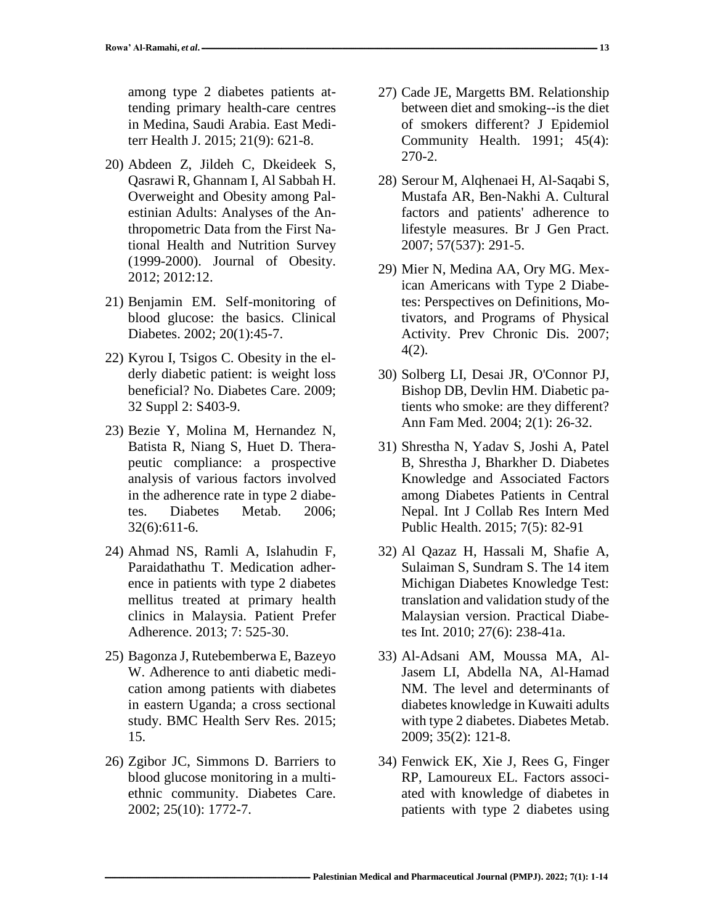among type 2 diabetes patients attending primary health-care centres in Medina, Saudi Arabia. East Mediterr Health J. 2015; 21(9): 621-8.

- 20) Abdeen Z, Jildeh C, Dkeideek S, Qasrawi R, Ghannam I, Al Sabbah H. Overweight and Obesity among Palestinian Adults: Analyses of the Anthropometric Data from the First National Health and Nutrition Survey (1999-2000). Journal of Obesity. 2012; 2012:12.
- 21) Benjamin EM. Self-monitoring of blood glucose: the basics. Clinical Diabetes. 2002; 20(1):45-7.
- 22) Kyrou I, Tsigos C. Obesity in the elderly diabetic patient: is weight loss beneficial? No. Diabetes Care. 2009; 32 Suppl 2: S403-9.
- 23) Bezie Y, Molina M, Hernandez N, Batista R, Niang S, Huet D. Therapeutic compliance: a prospective analysis of various factors involved in the adherence rate in type 2 diabetes. Diabetes Metab. 2006; 32(6):611-6.
- 24) Ahmad NS, Ramli A, Islahudin F, Paraidathathu T. Medication adherence in patients with type 2 diabetes mellitus treated at primary health clinics in Malaysia. Patient Prefer Adherence. 2013; 7: 525-30.
- 25) Bagonza J, Rutebemberwa E, Bazeyo W. Adherence to anti diabetic medication among patients with diabetes in eastern Uganda; a cross sectional study. BMC Health Serv Res. 2015; 15.
- 26) Zgibor JC, Simmons D. Barriers to blood glucose monitoring in a multiethnic community. Diabetes Care. 2002; 25(10): 1772-7.
- 27) Cade JE, Margetts BM. Relationship between diet and smoking--is the diet of smokers different? J Epidemiol Community Health. 1991; 45(4): 270-2.
- 28) Serour M, Alqhenaei H, Al-Saqabi S, Mustafa AR, Ben-Nakhi A. Cultural factors and patients' adherence to lifestyle measures. Br J Gen Pract. 2007; 57(537): 291-5.
- 29) Mier N, Medina AA, Ory MG. Mexican Americans with Type 2 Diabetes: Perspectives on Definitions, Motivators, and Programs of Physical Activity. Prev Chronic Dis. 2007; 4(2).
- 30) Solberg LI, Desai JR, O'Connor PJ, Bishop DB, Devlin HM. Diabetic patients who smoke: are they different? Ann Fam Med. 2004; 2(1): 26-32.
- 31) Shrestha N, Yadav S, Joshi A, Patel B, Shrestha J, Bharkher D. Diabetes Knowledge and Associated Factors among Diabetes Patients in Central Nepal. Int J Collab Res Intern Med Public Health. 2015; 7(5): 82-91
- 32) Al Qazaz H, Hassali M, Shafie A, Sulaiman S, Sundram S. The 14 item Michigan Diabetes Knowledge Test: translation and validation study of the Malaysian version. Practical Diabetes Int. 2010; 27(6): 238-41a.
- 33) Al-Adsani AM, Moussa MA, Al-Jasem LI, Abdella NA, Al-Hamad NM. The level and determinants of diabetes knowledge in Kuwaiti adults with type 2 diabetes. Diabetes Metab. 2009; 35(2): 121-8.
- 34) Fenwick EK, Xie J, Rees G, Finger RP, Lamoureux EL. Factors associated with knowledge of diabetes in patients with type 2 diabetes using